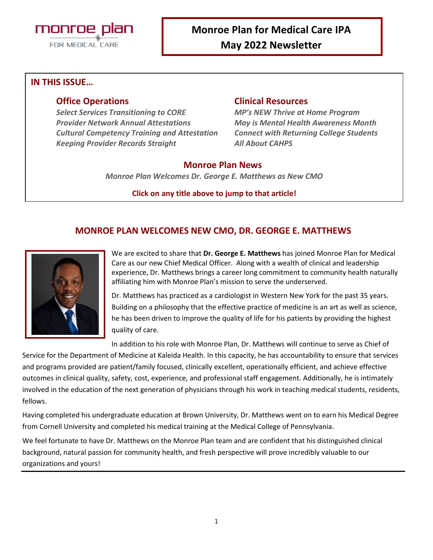

#### **IN THIS ISSUE…**

*Select Services Transitioning to CORE MP's NEW Thrive at Home Program Provider Network Annual Attestations May is Mental Health Awareness Month Cultural Competency Training and Attestation Connect with Returning College Students Keeping Provider Records Straight All About CAHPS*

#### **Office Operations Clinical Resources**

#### **Monroe Plan News**

*Monroe Plan Welcomes Dr. George E. Matthews as New CMO*

#### **Click on any title above to jump to that article!**

# **MONROE PLAN WELCOMES NEW CMO, DR. GEORGE E. MATTHEWS**



We are excited to share that **Dr. George E. Matthews** has joined Monroe Plan for Medical Care as our new Chief Medical Officer. Along with a wealth of clinical and leadership experience, Dr. Matthews brings a career long commitment to community health naturally affiliating him with Monroe Plan's mission to serve the underserved.

Dr. Matthews has practiced as a cardiologist in Western New York for the past 35 years. Building on a philosophy that the effective practice of medicine is an art as well as science, he has been driven to improve the quality of life for his patients by providing the highest quality of care.

In addition to his role with Monroe Plan, Dr. Matthews will continue to serve as Chief of

Service for the Department of Medicine at Kaleida Health. In this capacity, he has accountability to ensure that services and programs provided are patient/family focused, clinically excellent, operationally efficient, and achieve effective outcomes in clinical quality, safety, cost, experience, and professional staff engagement. Additionally, he is intimately involved in the education of the next generation of physicians through his work in teaching medical students, residents, fellows.

Having completed his undergraduate education at Brown University, Dr. Matthews went on to earn his Medical Degree from Cornell University and completed his medical training at the Medical College of Pennsylvania.

We feel fortunate to have Dr. Matthews on the Monroe Plan team and are confident that his distinguished clinical background, natural passion for community health, and fresh perspective will prove incredibly valuable to our organizations and yours!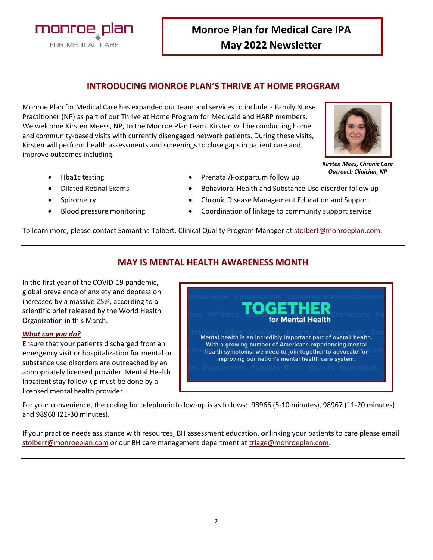2

**Monroe Plan for Medical Care IPA May 2022 Newsletter**

# **INTRODUCING MONROE PLAN'S THRIVE AT HOME PROGRAM**

Monroe Plan for Medical Care has expanded our team and services to include a Family Nurse Practitioner (NP) as part of our Thrive at Home Program for Medicaid and HARP members. We welcome Kirsten Meess, NP, to the Monroe Plan team. Kirsten will be conducting home and community-based visits with currently disengaged network patients. During these visits, Kirsten will perform health assessments and screenings to close gaps in patient care and improve outcomes including:

> *Kirsten Mees, Chronic Care Outreach Clinician, NP*

- Hba1c testing
- Dilated Retinal Exams
- **Spirometry**
- Blood pressure monitoring
- Prenatal/Postpartum follow up
- Behavioral Health and Substance Use disorder follow up
- Chronic Disease Management Education and Support
	- Coordination of linkage to community support service

To learn more, please contact Samantha Tolbert, Clinical Quality Program Manager at <u>[stolbert@monroeplan.com.](mailto:stolbert@monroeplan.com)</u>

## **MAY IS MENTAL HEALTH AWARENESS MONTH**

In the first year of the COVID-19 pandemic, global prevalence of anxiety and depression increased by a massive 25%, according to a scientific brief released by the World Health Organization in this March.

#### *What can you do?*

Ensure that your patients discharged from an emergency visit or hospitalization for mental or substance use disorders are outreached by an appropriately licensed provider. Mental Health Inpatient stay follow-up must be done by a licensed mental health provider.

For your convenience, the coding for telephonic follow-up is as follows: 98966 (5-10 minutes), 98967 (11-20 minutes) and 98968 (21-30 minutes).

If your practice needs assistance with resources, BH assessment education, or linking your patients to care please email [stolbert@monroeplan.com](mailto:stolbert@monroeplan.com) or our BH care management department at [triage@monroeplan.com.](mailto:triage@monroeplan.com)





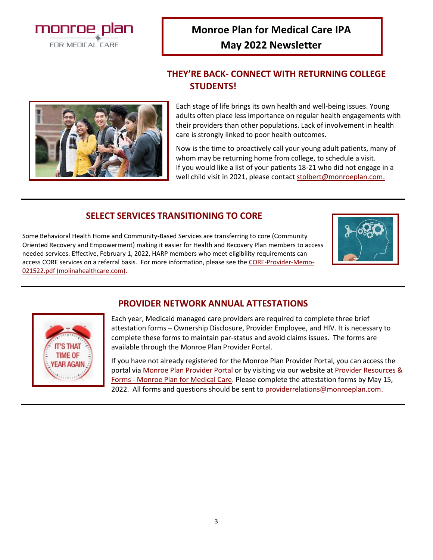**Monroe Plan for Medical Care IPA May 2022 Newsletter**

# **THEY'RE BACK- CONNECT WITH RETURNING COLLEGE STUDENTS!**

Each stage of life brings its own health and well-being issues. Young adults often place less importance on regular health engagements with their providers than other populations. Lack of involvement in health care is strongly linked to poor health outcomes.

Now is the time to proactively call your young adult patients, many of whom may be returning home from college, to schedule a visit. If you would like a list of your patients 18-21 who did not engage in a well child visit in 2021, please contac[t stolbert@monroeplan.com.](mailto:stolbert@monroeplan.com)

# **SELECT SERVICES TRANSITIONING TO CORE**

Some Behavioral Health Home and Community-Based Services are transferring to core (Community Oriented Recovery and Empowerment) making it easier for Health and Recovery Plan members to access needed services. Effective, February 1, 2022, HARP members who meet eligibility requirements can access CORE services on a referral basis. For more information, please see the [CORE-Provider-Memo-](https://www.molinahealthcare.com/-/media/Molina/PublicWebsite/PDF/Providers/ny/medicaid/CORE-Provider-Memo-021522.pdf)[021522.pdf \(molinahealthcare.com\).](https://www.molinahealthcare.com/-/media/Molina/PublicWebsite/PDF/Providers/ny/medicaid/CORE-Provider-Memo-021522.pdf)

## **PROVIDER NETWORK ANNUAL ATTESTATIONS**

Each year, Medicaid managed care providers are required to complete three brief attestation forms – Ownership Disclosure, Provider Employee, and HIV. It is necessary to complete these forms to maintain par-status and avoid claims issues. The forms are available through the Monroe Plan Provider Portal.

If you have not already registered for the Monroe Plan Provider Portal, you can access the portal via [Monroe Plan Provider Portal](https://monroeplan.healthtrioconnect.com/app/index.page?) or by visiting via our website at [Provider Resources &](https://monroeplan.com/provider-resources-forms/)  Forms - [Monroe Plan for Medical Care.](https://monroeplan.com/provider-resources-forms/) Please complete the attestation forms by May 15, 2022. All forms and questions should be sent to [providerrelations@monroeplan.com.](mailto:providerrelations@monroeplan.com)



**TIME OF FAR AGAIN** 



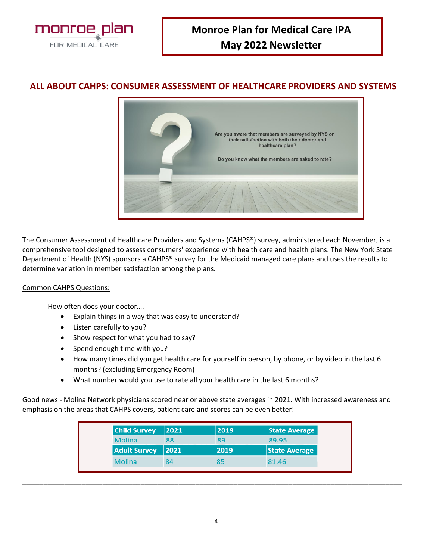

## **ALL ABOUT CAHPS: CONSUMER ASSESSMENT OF HEALTHCARE PROVIDERS AND SYSTEMS**



The Consumer Assessment of Healthcare Providers and Systems (CAHPS®) survey, administered each November, is a comprehensive tool designed to assess consumers' experience with health care and health plans. The New York State Department of Health (NYS) sponsors a CAHPS® survey for the Medicaid managed care plans and uses the results to determine variation in member satisfaction among the plans.

#### Common CAHPS Questions:

How often does your doctor….

- Explain things in a way that was easy to understand?
- Listen carefully to you?
- Show respect for what you had to say?
- Spend enough time with you?
- How many times did you get health care for yourself in person, by phone, or by video in the last 6 months? (excluding Emergency Room)
- What number would you use to rate all your health care in the last 6 months?

Good news - Molina Network physicians scored near or above state averages in 2021. With increased awareness and emphasis on the areas that CAHPS covers, patient care and scores can be even better!

| 2021    | 2019 | <b>State Average</b> |
|---------|------|----------------------|
| 88      | 89   | 89.95                |
| $ 2021$ | 2019 | <b>State Average</b> |
| 84      | 85   | 81.46                |
|         |      |                      |

\_\_\_\_\_\_\_\_\_\_\_\_\_\_\_\_\_\_\_\_\_\_\_\_\_\_\_\_\_\_\_\_\_\_\_\_\_\_\_\_\_\_\_\_\_\_\_\_\_\_\_\_\_\_\_\_\_\_\_\_\_\_\_\_\_\_\_\_\_\_\_\_\_\_\_\_\_\_\_\_\_\_\_\_\_\_\_\_\_\_